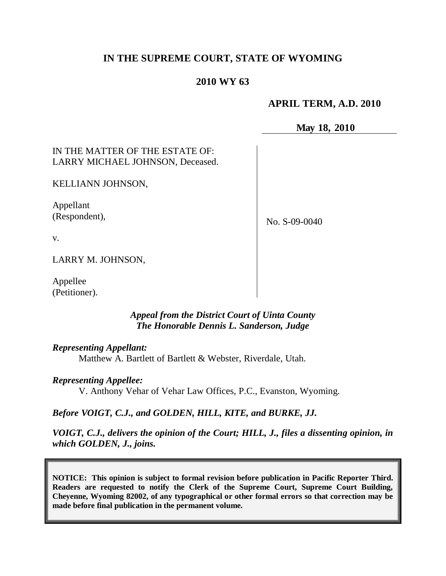# **IN THE SUPREME COURT, STATE OF WYOMING**

## **2010 WY 63**

### **APRIL TERM, A.D. 2010**

**May 18, 2010**

IN THE MATTER OF THE ESTATE OF: LARRY MICHAEL JOHNSON, Deceased.

KELLIANN JOHNSON,

Appellant (Respondent),

No. S-09-0040

v.

LARRY M. JOHNSON,

Appellee (Petitioner).

> *Appeal from the District Court of Uinta County The Honorable Dennis L. Sanderson, Judge*

*Representing Appellant:*

Matthew A. Bartlett of Bartlett & Webster, Riverdale, Utah.

*Representing Appellee:*

V. Anthony Vehar of Vehar Law Offices, P.C., Evanston, Wyoming.

*Before VOIGT, C.J., and GOLDEN, HILL, KITE, and BURKE, JJ.*

*VOIGT, C.J., delivers the opinion of the Court; HILL, J., files a dissenting opinion, in which GOLDEN, J., joins.*

**NOTICE: This opinion is subject to formal revision before publication in Pacific Reporter Third. Readers are requested to notify the Clerk of the Supreme Court, Supreme Court Building, Cheyenne, Wyoming 82002, of any typographical or other formal errors so that correction may be made before final publication in the permanent volume.**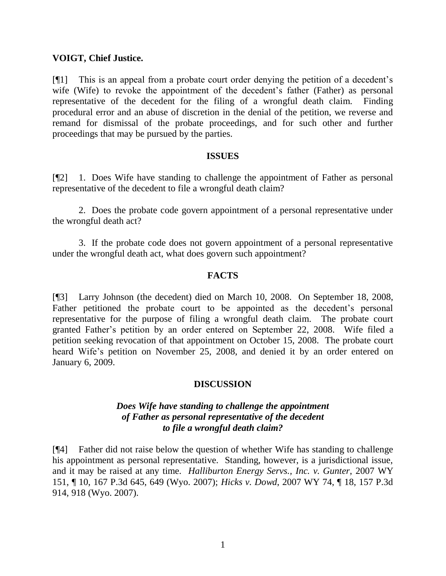#### **VOIGT, Chief Justice.**

[¶1] This is an appeal from a probate court order denying the petition of a decedent"s wife (Wife) to revoke the appointment of the decedent's father (Father) as personal representative of the decedent for the filing of a wrongful death claim. Finding procedural error and an abuse of discretion in the denial of the petition, we reverse and remand for dismissal of the probate proceedings, and for such other and further proceedings that may be pursued by the parties.

#### **ISSUES**

[¶2] 1. Does Wife have standing to challenge the appointment of Father as personal representative of the decedent to file a wrongful death claim?

2. Does the probate code govern appointment of a personal representative under the wrongful death act?

3. If the probate code does not govern appointment of a personal representative under the wrongful death act, what does govern such appointment?

#### **FACTS**

[¶3] Larry Johnson (the decedent) died on March 10, 2008. On September 18, 2008, Father petitioned the probate court to be appointed as the decedent's personal representative for the purpose of filing a wrongful death claim. The probate court granted Father"s petition by an order entered on September 22, 2008. Wife filed a petition seeking revocation of that appointment on October 15, 2008. The probate court heard Wife's petition on November 25, 2008, and denied it by an order entered on January 6, 2009.

#### **DISCUSSION**

### *Does Wife have standing to challenge the appointment of Father as personal representative of the decedent to file a wrongful death claim?*

[¶4] Father did not raise below the question of whether Wife has standing to challenge his appointment as personal representative. Standing, however, is a jurisdictional issue, and it may be raised at any time. *Halliburton Energy Servs., Inc. v. Gunter*, 2007 WY 151, ¶ 10, 167 P.3d 645, 649 (Wyo. 2007); *Hicks v. Dowd*, 2007 WY 74, ¶ 18, 157 P.3d 914, 918 (Wyo. 2007).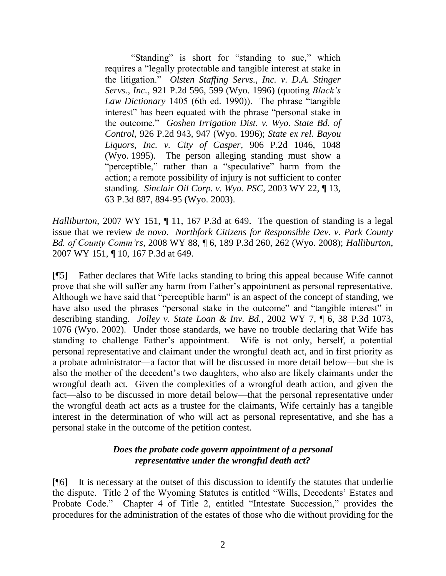"Standing" is short for "standing to sue," which requires a "legally protectable and tangible interest at stake in the litigation." *Olsten Staffing Servs., Inc. v. D.A. Stinger Servs., Inc.*, 921 P.2d 596, 599 (Wyo. 1996) (quoting *Black's Law Dictionary* 1405 (6th ed. 1990)). The phrase "tangible interest" has been equated with the phrase "personal stake in the outcome." *Goshen Irrigation Dist. v. Wyo. State Bd. of Control*, 926 P.2d 943, 947 (Wyo. 1996); *State ex rel. Bayou Liquors, Inc. v. City of Casper*, 906 P.2d 1046, 1048 (Wyo. 1995). The person alleging standing must show a "perceptible," rather than a "speculative" harm from the action; a remote possibility of injury is not sufficient to confer standing. *Sinclair Oil Corp. v. Wyo. PSC*, 2003 WY 22, ¶ 13, 63 P.3d 887, 894-95 (Wyo. 2003).

*Halliburton*, 2007 WY 151, 11, 167 P.3d at 649. The question of standing is a legal issue that we review *de novo*. *Northfork Citizens for Responsible Dev. v. Park County Bd. of County Comm'rs*, 2008 WY 88, ¶ 6, 189 P.3d 260, 262 (Wyo. 2008); *Halliburton*, 2007 WY 151, ¶ 10, 167 P.3d at 649.

[¶5] Father declares that Wife lacks standing to bring this appeal because Wife cannot prove that she will suffer any harm from Father"s appointment as personal representative. Although we have said that "perceptible harm" is an aspect of the concept of standing, we have also used the phrases "personal stake in the outcome" and "tangible interest" in describing standing. *Jolley v. State Loan & Inv. Bd.*, 2002 WY 7, ¶ 6, 38 P.3d 1073, 1076 (Wyo. 2002). Under those standards, we have no trouble declaring that Wife has standing to challenge Father"s appointment. Wife is not only, herself, a potential personal representative and claimant under the wrongful death act, and in first priority as a probate administrator—a factor that will be discussed in more detail below—but she is also the mother of the decedent"s two daughters, who also are likely claimants under the wrongful death act. Given the complexities of a wrongful death action, and given the fact—also to be discussed in more detail below—that the personal representative under the wrongful death act acts as a trustee for the claimants, Wife certainly has a tangible interest in the determination of who will act as personal representative, and she has a personal stake in the outcome of the petition contest.

### *Does the probate code govern appointment of a personal representative under the wrongful death act?*

[¶6] It is necessary at the outset of this discussion to identify the statutes that underlie the dispute. Title 2 of the Wyoming Statutes is entitled "Wills, Decedents" Estates and Probate Code." Chapter 4 of Title 2, entitled "Intestate Succession," provides the procedures for the administration of the estates of those who die without providing for the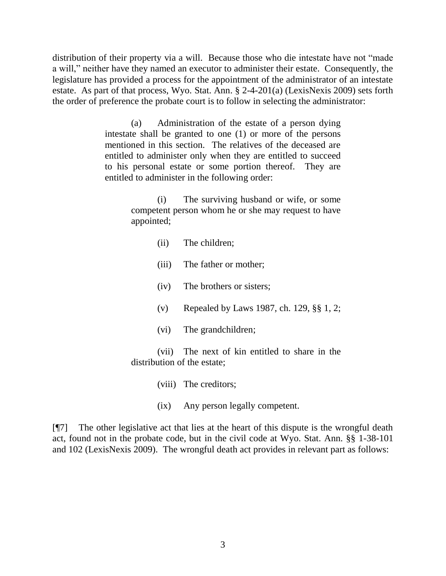distribution of their property via a will. Because those who die intestate have not "made a will," neither have they named an executor to administer their estate. Consequently, the legislature has provided a process for the appointment of the administrator of an intestate estate. As part of that process, Wyo. Stat. Ann. § 2-4-201(a) (LexisNexis 2009) sets forth the order of preference the probate court is to follow in selecting the administrator:

> (a) Administration of the estate of a person dying intestate shall be granted to one (1) or more of the persons mentioned in this section. The relatives of the deceased are entitled to administer only when they are entitled to succeed to his personal estate or some portion thereof. They are entitled to administer in the following order:

> > (i) The surviving husband or wife, or some competent person whom he or she may request to have appointed;

- (ii) The children;
- (iii) The father or mother;
- (iv) The brothers or sisters;
- (v) Repealed by Laws 1987, ch. 129, §§ 1, 2;
- (vi) The grandchildren;

(vii) The next of kin entitled to share in the distribution of the estate;

- (viii) The creditors;
- (ix) Any person legally competent.

[¶7] The other legislative act that lies at the heart of this dispute is the wrongful death act, found not in the probate code, but in the civil code at Wyo. Stat. Ann. §§ 1-38-101 and 102 (LexisNexis 2009). The wrongful death act provides in relevant part as follows: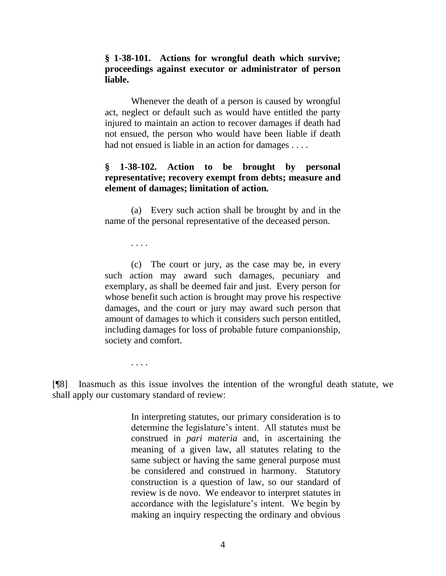**§ 1-38-101. Actions for wrongful death which survive; proceedings against executor or administrator of person liable.**

Whenever the death of a person is caused by wrongful act, neglect or default such as would have entitled the party injured to maintain an action to recover damages if death had not ensued, the person who would have been liable if death had not ensued is liable in an action for damages . . . .

## **§ 1-38-102. Action to be brought by personal representative; recovery exempt from debts; measure and element of damages; limitation of action.**

(a) Every such action shall be brought by and in the name of the personal representative of the deceased person.

. . . .

. . . .

(c) The court or jury, as the case may be, in every such action may award such damages, pecuniary and exemplary, as shall be deemed fair and just. Every person for whose benefit such action is brought may prove his respective damages, and the court or jury may award such person that amount of damages to which it considers such person entitled, including damages for loss of probable future companionship, society and comfort.

[¶8] Inasmuch as this issue involves the intention of the wrongful death statute, we shall apply our customary standard of review:

> In interpreting statutes, our primary consideration is to determine the legislature"s intent. All statutes must be construed in *pari materia* and, in ascertaining the meaning of a given law, all statutes relating to the same subject or having the same general purpose must be considered and construed in harmony. Statutory construction is a question of law, so our standard of review is de novo. We endeavor to interpret statutes in accordance with the legislature"s intent. We begin by making an inquiry respecting the ordinary and obvious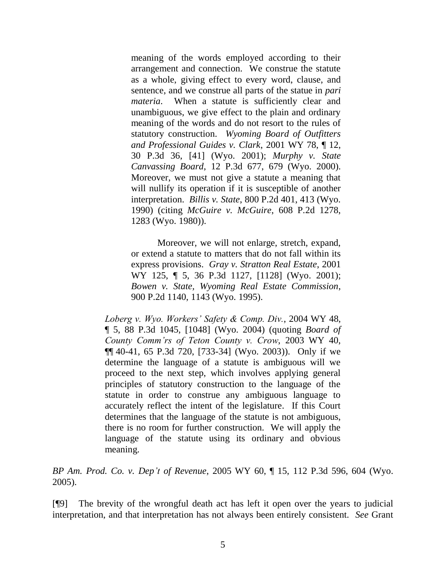meaning of the words employed according to their arrangement and connection. We construe the statute as a whole, giving effect to every word, clause, and sentence, and we construe all parts of the statue in *pari materia*. When a statute is sufficiently clear and unambiguous, we give effect to the plain and ordinary meaning of the words and do not resort to the rules of statutory construction. *Wyoming Board of Outfitters and Professional Guides v. Clark*, 2001 WY 78, ¶ 12, 30 P.3d 36, [41] (Wyo. 2001); *Murphy v. State Canvassing Board*, 12 P.3d 677, 679 (Wyo. 2000). Moreover, we must not give a statute a meaning that will nullify its operation if it is susceptible of another interpretation. *Billis v. State*, 800 P.2d 401, 413 (Wyo. 1990) (citing *McGuire v. McGuire*, 608 P.2d 1278, 1283 (Wyo. 1980)).

Moreover, we will not enlarge, stretch, expand, or extend a statute to matters that do not fall within its express provisions. *Gray v. Stratton Real Estate*, 2001 WY 125, ¶ 5, 36 P.3d 1127, [1128] (Wyo. 2001); *Bowen v. State, Wyoming Real Estate Commission*, 900 P.2d 1140, 1143 (Wyo. 1995).

*Loberg v. Wyo. Workers' Safety & Comp. Div.*, 2004 WY 48, ¶ 5, 88 P.3d 1045, [1048] (Wyo. 2004) (quoting *Board of County Comm'rs of Teton County v. Crow*, 2003 WY 40, ¶¶ 40-41, 65 P.3d 720, [733-34] (Wyo. 2003)). Only if we determine the language of a statute is ambiguous will we proceed to the next step, which involves applying general principles of statutory construction to the language of the statute in order to construe any ambiguous language to accurately reflect the intent of the legislature. If this Court determines that the language of the statute is not ambiguous, there is no room for further construction. We will apply the language of the statute using its ordinary and obvious meaning.

*BP Am. Prod. Co. v. Dep't of Revenue*, 2005 WY 60, ¶ 15, 112 P.3d 596, 604 (Wyo. 2005).

[¶9] The brevity of the wrongful death act has left it open over the years to judicial interpretation, and that interpretation has not always been entirely consistent. *See* Grant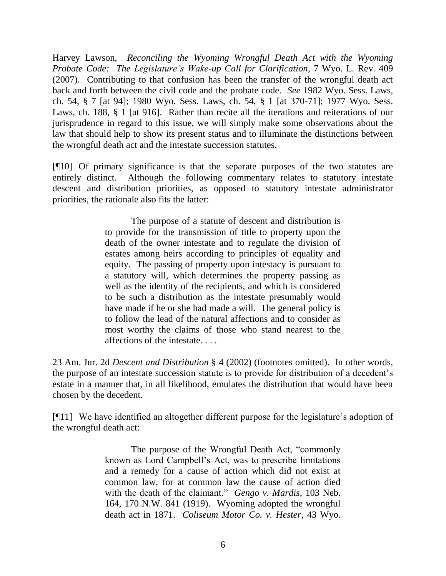Harvey Lawson, *Reconciling the Wyoming Wrongful Death Act with the Wyoming Probate Code: The Legislature's Wake-up Call for Clarification*, 7 Wyo. L. Rev. 409 (2007). Contributing to that confusion has been the transfer of the wrongful death act back and forth between the civil code and the probate code. *See* 1982 Wyo. Sess. Laws, ch. 54, § 7 [at 94]; 1980 Wyo. Sess. Laws, ch. 54, § 1 [at 370-71]; 1977 Wyo. Sess. Laws, ch. 188, § 1 [at 916]. Rather than recite all the iterations and reiterations of our jurisprudence in regard to this issue, we will simply make some observations about the law that should help to show its present status and to illuminate the distinctions between the wrongful death act and the intestate succession statutes.

[¶10] Of primary significance is that the separate purposes of the two statutes are entirely distinct. Although the following commentary relates to statutory intestate descent and distribution priorities, as opposed to statutory intestate administrator priorities, the rationale also fits the latter:

> The purpose of a statute of descent and distribution is to provide for the transmission of title to property upon the death of the owner intestate and to regulate the division of estates among heirs according to principles of equality and equity. The passing of property upon intestacy is pursuant to a statutory will, which determines the property passing as well as the identity of the recipients, and which is considered to be such a distribution as the intestate presumably would have made if he or she had made a will. The general policy is to follow the lead of the natural affections and to consider as most worthy the claims of those who stand nearest to the affections of the intestate. . . .

23 Am. Jur. 2d *Descent and Distribution* § 4 (2002) (footnotes omitted). In other words, the purpose of an intestate succession statute is to provide for distribution of a decedent"s estate in a manner that, in all likelihood, emulates the distribution that would have been chosen by the decedent.

[¶11] We have identified an altogether different purpose for the legislature's adoption of the wrongful death act:

> The purpose of the Wrongful Death Act, "commonly known as Lord Campbell"s Act, was to prescribe limitations and a remedy for a cause of action which did not exist at common law, for at common law the cause of action died with the death of the claimant." *Gengo v. Mardis*, 103 Neb. 164, 170 N.W. 841 (1919). Wyoming adopted the wrongful death act in 1871. *Coliseum Motor Co. v. Hester*, 43 Wyo.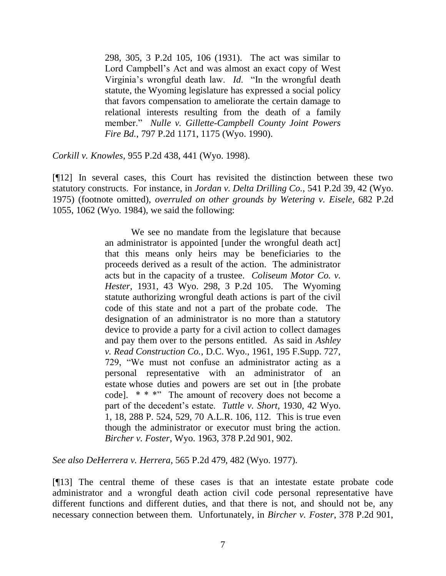298, 305, 3 P.2d 105, 106 (1931). The act was similar to Lord Campbell"s Act and was almost an exact copy of West Virginia"s wrongful death law. *Id*. "In the wrongful death statute, the Wyoming legislature has expressed a social policy that favors compensation to ameliorate the certain damage to relational interests resulting from the death of a family member." *Nulle v. Gillette-Campbell County Joint Powers Fire Bd.*, 797 P.2d 1171, 1175 (Wyo. 1990).

*Corkill v. Knowles*, 955 P.2d 438, 441 (Wyo. 1998).

[¶12] In several cases, this Court has revisited the distinction between these two statutory constructs. For instance, in *Jordan v. Delta Drilling Co.*, 541 P.2d 39, 42 (Wyo. 1975) (footnote omitted), *overruled on other grounds by Wetering v. Eisele*, 682 P.2d 1055, 1062 (Wyo. 1984), we said the following:

> We see no mandate from the legislature that because an administrator is appointed [under the wrongful death act] that this means only heirs may be beneficiaries to the proceeds derived as a result of the action. The administrator acts but in the capacity of a trustee. *Coliseum Motor Co. v. Hester*, 1931, 43 Wyo. 298, 3 P.2d 105. The Wyoming statute authorizing wrongful death actions is part of the civil code of this state and not a part of the probate code. The designation of an administrator is no more than a statutory device to provide a party for a civil action to collect damages and pay them over to the persons entitled. As said in *Ashley v. Read Construction Co.*, D.C. Wyo., 1961, 195 F.Supp. 727, 729, "We must not confuse an administrator acting as a personal representative with an administrator of an estate whose duties and powers are set out in [the probate code]. \* \* \*" The amount of recovery does not become a part of the decedent"s estate. *Tuttle v. Short*, 1930, 42 Wyo. 1, 18, 288 P. 524, 529, 70 A.L.R. 106, 112. This is true even though the administrator or executor must bring the action. *Bircher v. Foster*, Wyo. 1963, 378 P.2d 901, 902.

*See also DeHerrera v. Herrera*, 565 P.2d 479, 482 (Wyo. 1977).

[¶13] The central theme of these cases is that an intestate estate probate code administrator and a wrongful death action civil code personal representative have different functions and different duties, and that there is not, and should not be, any necessary connection between them. Unfortunately, in *Bircher v. Foster*, 378 P.2d 901,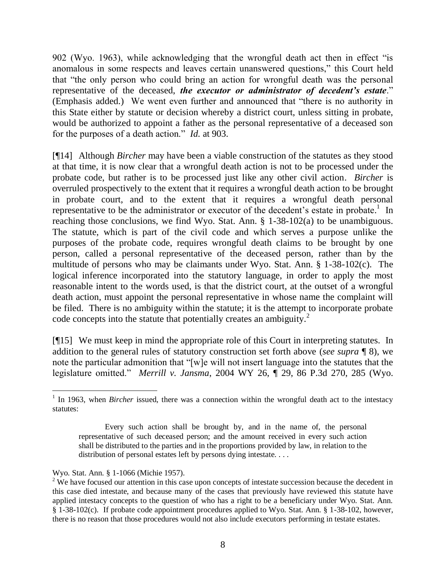902 (Wyo. 1963), while acknowledging that the wrongful death act then in effect "is anomalous in some respects and leaves certain unanswered questions," this Court held that "the only person who could bring an action for wrongful death was the personal representative of the deceased, *the executor or administrator of decedent's estate*." (Emphasis added.) We went even further and announced that "there is no authority in this State either by statute or decision whereby a district court, unless sitting in probate, would be authorized to appoint a father as the personal representative of a deceased son for the purposes of a death action." *Id*. at 903.

[¶14] Although *Bircher* may have been a viable construction of the statutes as they stood at that time, it is now clear that a wrongful death action is not to be processed under the probate code, but rather is to be processed just like any other civil action. *Bircher* is overruled prospectively to the extent that it requires a wrongful death action to be brought in probate court, and to the extent that it requires a wrongful death personal representative to be the administrator or executor of the decedent's estate in probate.<sup>1</sup> In reaching those conclusions, we find Wyo. Stat. Ann. § 1-38-102(a) to be unambiguous. The statute, which is part of the civil code and which serves a purpose unlike the purposes of the probate code, requires wrongful death claims to be brought by one person, called a personal representative of the deceased person, rather than by the multitude of persons who may be claimants under Wyo. Stat. Ann. § 1-38-102(c). The logical inference incorporated into the statutory language, in order to apply the most reasonable intent to the words used, is that the district court, at the outset of a wrongful death action, must appoint the personal representative in whose name the complaint will be filed. There is no ambiguity within the statute; it is the attempt to incorporate probate code concepts into the statute that potentially creates an ambiguity.<sup>2</sup>

[¶15] We must keep in mind the appropriate role of this Court in interpreting statutes. In addition to the general rules of statutory construction set forth above (*see supra* ¶ 8), we note the particular admonition that "[w]e will not insert language into the statutes that the legislature omitted." *Merrill v. Jansma*, 2004 WY 26, ¶ 29, 86 P.3d 270, 285 (Wyo.

 <sup>1</sup> In 1963, when *Bircher* issued, there was a connection within the wrongful death act to the intestacy statutes:

Every such action shall be brought by, and in the name of, the personal representative of such deceased person; and the amount received in every such action shall be distributed to the parties and in the proportions provided by law, in relation to the distribution of personal estates left by persons dying intestate. . . .

Wyo. Stat. Ann. § 1-1066 (Michie 1957).

 $2\text{ We have focused our attention in this case upon concepts of the intersection because the decoder in the context of the context.}$ this case died intestate, and because many of the cases that previously have reviewed this statute have applied intestacy concepts to the question of who has a right to be a beneficiary under Wyo. Stat. Ann. § 1-38-102(c). If probate code appointment procedures applied to Wyo. Stat. Ann. § 1-38-102, however, there is no reason that those procedures would not also include executors performing in testate estates.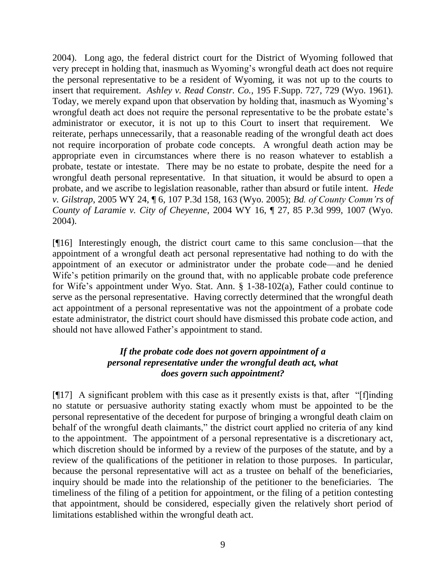2004). Long ago, the federal district court for the District of Wyoming followed that very precept in holding that, inasmuch as Wyoming"s wrongful death act does not require the personal representative to be a resident of Wyoming, it was not up to the courts to insert that requirement. *Ashley v. Read Constr. Co.,* 195 F.Supp. 727, 729 (Wyo. 1961). Today, we merely expand upon that observation by holding that, inasmuch as Wyoming"s wrongful death act does not require the personal representative to be the probate estate"s administrator or executor, it is not up to this Court to insert that requirement. We reiterate, perhaps unnecessarily, that a reasonable reading of the wrongful death act does not require incorporation of probate code concepts. A wrongful death action may be appropriate even in circumstances where there is no reason whatever to establish a probate, testate or intestate. There may be no estate to probate, despite the need for a wrongful death personal representative. In that situation, it would be absurd to open a probate, and we ascribe to legislation reasonable, rather than absurd or futile intent. *Hede v. Gilstrap*, 2005 WY 24, ¶ 6, 107 P.3d 158, 163 (Wyo. 2005); *Bd. of County Comm'rs of County of Laramie v. City of Cheyenne*, 2004 WY 16, ¶ 27, 85 P.3d 999, 1007 (Wyo. 2004).

[¶16] Interestingly enough, the district court came to this same conclusion—that the appointment of a wrongful death act personal representative had nothing to do with the appointment of an executor or administrator under the probate code—and he denied Wife's petition primarily on the ground that, with no applicable probate code preference for Wife"s appointment under Wyo. Stat. Ann. § 1-38-102(a), Father could continue to serve as the personal representative. Having correctly determined that the wrongful death act appointment of a personal representative was not the appointment of a probate code estate administrator, the district court should have dismissed this probate code action, and should not have allowed Father"s appointment to stand.

# *If the probate code does not govern appointment of a personal representative under the wrongful death act, what does govern such appointment?*

[¶17] A significant problem with this case as it presently exists is that, after "[f]inding no statute or persuasive authority stating exactly whom must be appointed to be the personal representative of the decedent for purpose of bringing a wrongful death claim on behalf of the wrongful death claimants," the district court applied no criteria of any kind to the appointment. The appointment of a personal representative is a discretionary act, which discretion should be informed by a review of the purposes of the statute, and by a review of the qualifications of the petitioner in relation to those purposes. In particular, because the personal representative will act as a trustee on behalf of the beneficiaries, inquiry should be made into the relationship of the petitioner to the beneficiaries. The timeliness of the filing of a petition for appointment, or the filing of a petition contesting that appointment, should be considered, especially given the relatively short period of limitations established within the wrongful death act.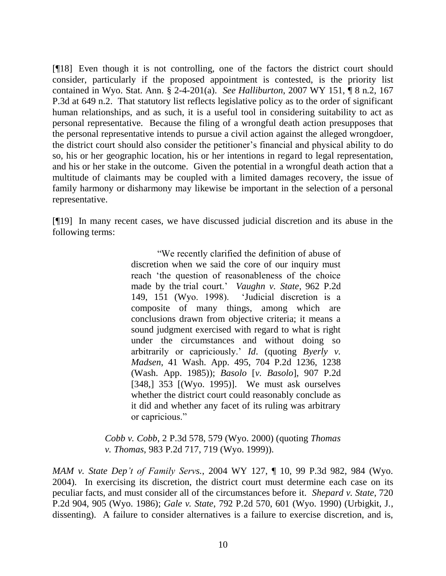[¶18] Even though it is not controlling, one of the factors the district court should consider, particularly if the proposed appointment is contested, is the priority list contained in Wyo. Stat. Ann. § 2-4-201(a). *See Halliburton*, 2007 WY 151, ¶ 8 n.2, 167 P.3d at 649 n.2. That statutory list reflects legislative policy as to the order of significant human relationships, and as such, it is a useful tool in considering suitability to act as personal representative. Because the filing of a wrongful death action presupposes that the personal representative intends to pursue a civil action against the alleged wrongdoer, the district court should also consider the petitioner"s financial and physical ability to do so, his or her geographic location, his or her intentions in regard to legal representation, and his or her stake in the outcome. Given the potential in a wrongful death action that a multitude of claimants may be coupled with a limited damages recovery, the issue of family harmony or disharmony may likewise be important in the selection of a personal representative.

[¶19] In many recent cases, we have discussed judicial discretion and its abuse in the following terms:

> "We recently clarified the definition of abuse of discretion when we said the core of our inquiry must reach "the question of reasonableness of the choice made by the trial court." *Vaughn v. State*, 962 P.2d 149, 151 (Wyo. 1998). "Judicial discretion is a composite of many things, among which are conclusions drawn from objective criteria; it means a sound judgment exercised with regard to what is right under the circumstances and without doing so arbitrarily or capriciously." *Id*. (quoting *Byerly v. Madsen*, 41 Wash. App. 495, 704 P.2d 1236, 1238 (Wash. App. 1985)); *Basolo* [*v. Basolo*], 907 P.2d [348,] 353 [(Wyo. 1995)]. We must ask ourselves whether the district court could reasonably conclude as it did and whether any facet of its ruling was arbitrary or capricious."

*Cobb v. Cobb*, 2 P.3d 578, 579 (Wyo. 2000) (quoting *Thomas v. Thomas*, 983 P.2d 717, 719 (Wyo. 1999)).

*MAM v. State Dep't of Family Servs.*, 2004 WY 127, ¶ 10, 99 P.3d 982, 984 (Wyo. 2004). In exercising its discretion, the district court must determine each case on its peculiar facts, and must consider all of the circumstances before it. *Shepard v. State*, 720 P.2d 904, 905 (Wyo. 1986); *Gale v. State*, 792 P.2d 570, 601 (Wyo. 1990) (Urbigkit, J., dissenting). A failure to consider alternatives is a failure to exercise discretion, and is,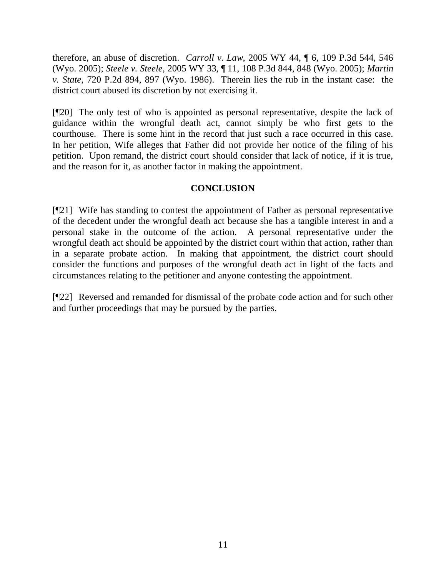therefore, an abuse of discretion. *Carroll v. Law*, 2005 WY 44, ¶ 6, 109 P.3d 544, 546 (Wyo. 2005); *Steele v. Steele*, 2005 WY 33, ¶ 11, 108 P.3d 844, 848 (Wyo. 2005); *Martin v. State*, 720 P.2d 894, 897 (Wyo. 1986). Therein lies the rub in the instant case: the district court abused its discretion by not exercising it.

[¶20] The only test of who is appointed as personal representative, despite the lack of guidance within the wrongful death act, cannot simply be who first gets to the courthouse. There is some hint in the record that just such a race occurred in this case. In her petition, Wife alleges that Father did not provide her notice of the filing of his petition. Upon remand, the district court should consider that lack of notice, if it is true, and the reason for it, as another factor in making the appointment.

### **CONCLUSION**

[¶21] Wife has standing to contest the appointment of Father as personal representative of the decedent under the wrongful death act because she has a tangible interest in and a personal stake in the outcome of the action. A personal representative under the wrongful death act should be appointed by the district court within that action, rather than in a separate probate action. In making that appointment, the district court should consider the functions and purposes of the wrongful death act in light of the facts and circumstances relating to the petitioner and anyone contesting the appointment.

[¶22] Reversed and remanded for dismissal of the probate code action and for such other and further proceedings that may be pursued by the parties.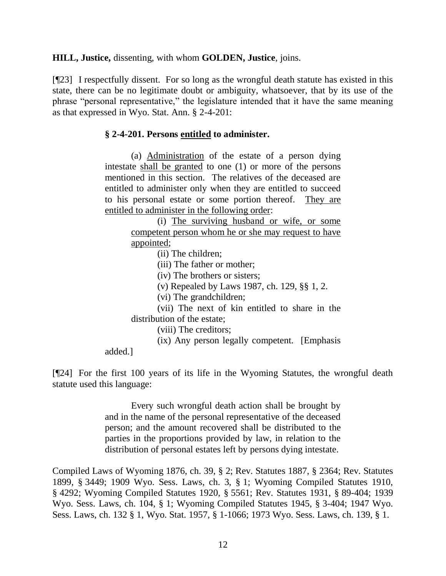**HILL, Justice,** dissenting, with whom **GOLDEN, Justice**, joins.

[¶23] I respectfully dissent. For so long as the wrongful death statute has existed in this state, there can be no legitimate doubt or ambiguity, whatsoever, that by its use of the phrase "personal representative," the legislature intended that it have the same meaning as that expressed in Wyo. Stat. Ann. § 2-4-201:

### **§ 2-4-201. Persons entitled to administer.**

(a) Administration of the estate of a person dying intestate shall be granted to one (1) or more of the persons mentioned in this section. The relatives of the deceased are entitled to administer only when they are entitled to succeed to his personal estate or some portion thereof. They are entitled to administer in the following order:

> (i) The surviving husband or wife, or some competent person whom he or she may request to have appointed;

> > (ii) The children;

(iii) The father or mother;

(iv) The brothers or sisters;

(v) Repealed by Laws 1987, ch. 129, §§ 1, 2.

(vi) The grandchildren;

(vii) The next of kin entitled to share in the distribution of the estate;

(viii) The creditors;

(ix) Any person legally competent. [Emphasis

added.]

[¶24] For the first 100 years of its life in the Wyoming Statutes, the wrongful death statute used this language:

> Every such wrongful death action shall be brought by and in the name of the personal representative of the deceased person; and the amount recovered shall be distributed to the parties in the proportions provided by law, in relation to the distribution of personal estates left by persons dying intestate.

Compiled Laws of Wyoming 1876, ch. 39, § 2; Rev. Statutes 1887, § 2364; Rev. Statutes 1899, § 3449; 1909 Wyo. Sess. Laws, ch. 3, § 1; Wyoming Compiled Statutes 1910, § 4292; Wyoming Compiled Statutes 1920, § 5561; Rev. Statutes 1931, § 89-404; 1939 Wyo. Sess. Laws, ch. 104, § 1; Wyoming Compiled Statutes 1945, § 3-404; 1947 Wyo. Sess. Laws, ch. 132 § 1, Wyo. Stat. 1957, § 1-1066; 1973 Wyo. Sess. Laws, ch. 139, § 1.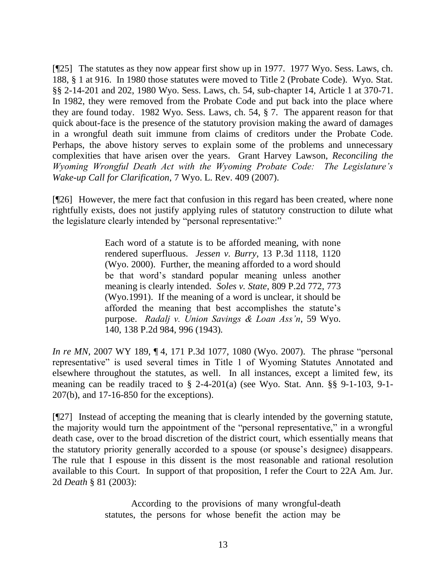[¶25] The statutes as they now appear first show up in 1977. 1977 Wyo. Sess. Laws, ch. 188, § 1 at 916. In 1980 those statutes were moved to Title 2 (Probate Code). Wyo. Stat. §§ 2-14-201 and 202, 1980 Wyo. Sess. Laws, ch. 54, sub-chapter 14, Article 1 at 370-71. In 1982, they were removed from the Probate Code and put back into the place where they are found today. 1982 Wyo. Sess. Laws, ch. 54, § 7. The apparent reason for that quick about-face is the presence of the statutory provision making the award of damages in a wrongful death suit immune from claims of creditors under the Probate Code. Perhaps, the above history serves to explain some of the problems and unnecessary complexities that have arisen over the years. Grant Harvey Lawson, *Reconciling the Wyoming Wrongful Death Act with the Wyoming Probate Code: The Legislature's Wake-up Call for Clarification*, 7 Wyo. L. Rev. 409 (2007).

[¶26] However, the mere fact that confusion in this regard has been created, where none rightfully exists, does not justify applying rules of statutory construction to dilute what the legislature clearly intended by "personal representative:"

> Each word of a statute is to be afforded meaning, with none rendered superfluous. *Jessen v. Burry*, 13 P.3d 1118, 1120 (Wyo. 2000). Further, the meaning afforded to a word should be that word"s standard popular meaning unless another meaning is clearly intended. *Soles v. State*, 809 P.2d 772, 773 (Wyo.1991). If the meaning of a word is unclear, it should be afforded the meaning that best accomplishes the statute"s purpose. *Radalj v. Union Savings & Loan Ass'n*, 59 Wyo. 140, 138 P.2d 984, 996 (1943).

*In re MN*, 2007 WY 189, 14, 171 P.3d 1077, 1080 (Wyo. 2007). The phrase "personal representative" is used several times in Title 1 of Wyoming Statutes Annotated and elsewhere throughout the statutes, as well. In all instances, except a limited few, its meaning can be readily traced to § 2-4-201(a) (see Wyo. Stat. Ann. §§ 9-1-103, 9-1- 207(b), and 17-16-850 for the exceptions).

[¶27] Instead of accepting the meaning that is clearly intended by the governing statute, the majority would turn the appointment of the "personal representative," in a wrongful death case, over to the broad discretion of the district court, which essentially means that the statutory priority generally accorded to a spouse (or spouse"s designee) disappears. The rule that I espouse in this dissent is the most reasonable and rational resolution available to this Court. In support of that proposition, I refer the Court to 22A Am. Jur. 2d *Death* § 81 (2003):

> According to the provisions of many wrongful-death statutes, the persons for whose benefit the action may be